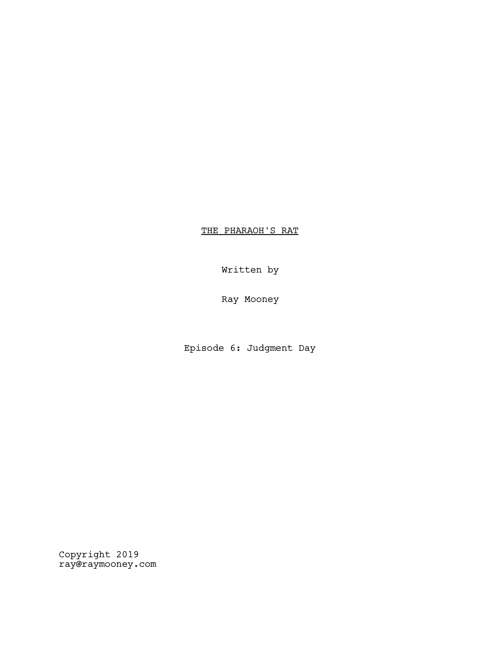THE PHARAOH'S RAT

Written by

Ray Mooney

Episode 6: Judgment Day

Copyright 2019 ray@raymooney.com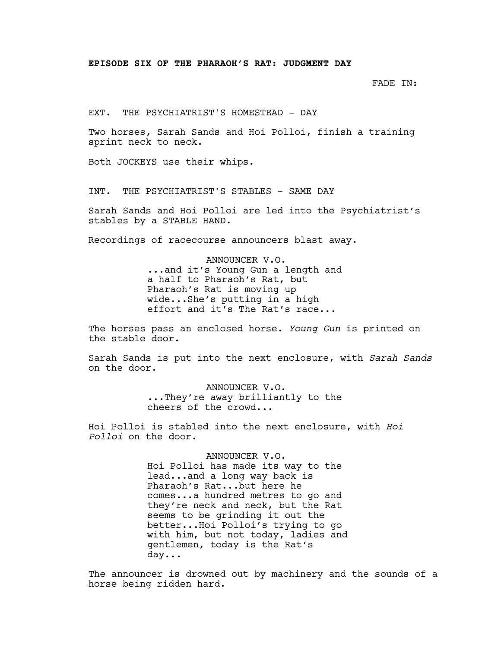### EPISODE SIX OF THE PHARAOH'S RAT: JUDGMENT DAY

FADE IN:

EXT. THE PSYCHIATRIST'S HOMESTEAD - DAY

Two horses, Sarah Sands and Hoi Polloi, finish a training sprint neck to neck.

Both JOCKEYS use their whips.

INT. THE PSYCHIATRIST'S STABLES - SAME DAY

Sarah Sands and Hoi Polloi are led into the Psychiatrist's stables by a STABLE HAND.

Recordings of racecourse announcers blast away.

ANNOUNCER V.O. ...and it's Young Gun a length and a half to Pharaoh's Rat, but Pharaoh's Rat is moving up wide...She's putting in a high effort and it's The Rat's race...

The horses pass an enclosed horse. Young Gun is printed on the stable door.

Sarah Sands is put into the next enclosure, with Sarah Sands on the door.

> ANNOUNCER V.O. ...They're away brilliantly to the cheers of the crowd...

Hoi Polloi is stabled into the next enclosure, with Hoi Polloi on the door.

### ANNOUNCER V.O.

Hoi Polloi has made its way to the lead...and a long way back is Pharaoh's Rat...but here he comes...a hundred metres to go and they're neck and neck, but the Rat seems to be grinding it out the better...Hoi Polloi's trying to go with him, but not today, ladies and gentlemen, today is the Rat's day...

The announcer is drowned out by machinery and the sounds of a horse being ridden hard.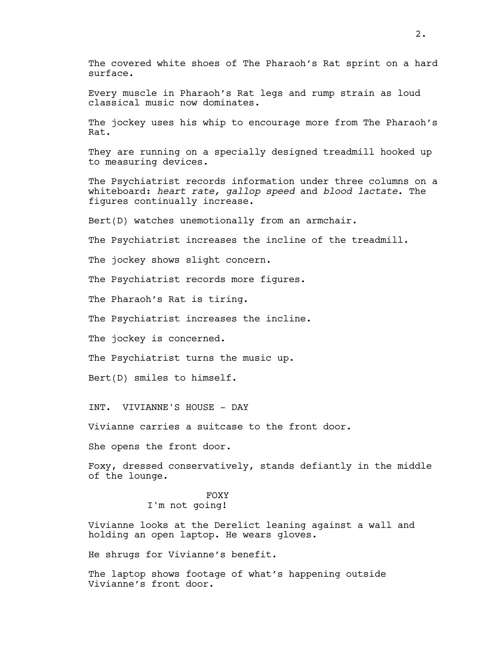The covered white shoes of The Pharaoh's Rat sprint on a hard surface.

Every muscle in Pharaoh's Rat legs and rump strain as loud classical music now dominates.

The jockey uses his whip to encourage more from The Pharaoh's Rat.

They are running on a specially designed treadmill hooked up to measuring devices.

The Psychiatrist records information under three columns on a whiteboard: heart rate, gallop speed and blood lactate. The figures continually increase.

Bert(D) watches unemotionally from an armchair.

The Psychiatrist increases the incline of the treadmill.

The jockey shows slight concern.

The Psychiatrist records more figures.

The Pharaoh's Rat is tiring.

The Psychiatrist increases the incline.

The jockey is concerned.

The Psychiatrist turns the music up.

Bert(D) smiles to himself.

INT. VIVIANNE'S HOUSE - DAY

Vivianne carries a suitcase to the front door.

She opens the front door.

Foxy, dressed conservatively, stands defiantly in the middle of the lounge.

## **FOXY** I'm not going!

Vivianne looks at the Derelict leaning against a wall and holding an open laptop. He wears gloves.

He shrugs for Vivianne's benefit.

The laptop shows footage of what's happening outside Vivianne's front door.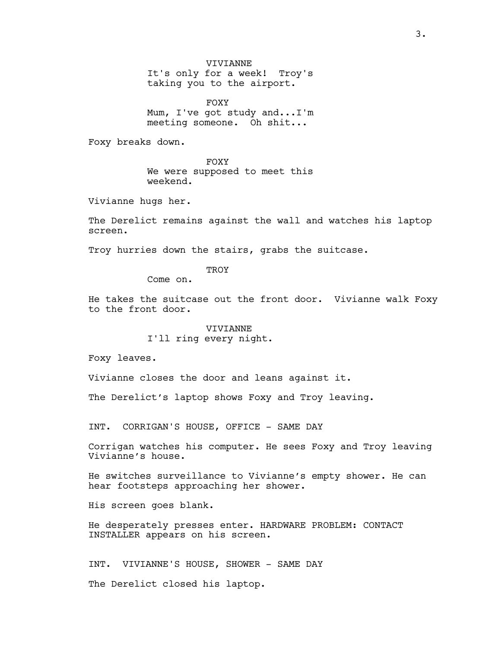### VIVIANNE

It's only for a week! Troy's taking you to the airport.

FOXY Mum, I've got study and...I'm meeting someone. Oh shit...

Foxy breaks down.

FOXY We were supposed to meet this weekend.

Vivianne hugs her.

The Derelict remains against the wall and watches his laptop screen.

Troy hurries down the stairs, grabs the suitcase.

**TROY** 

Come on.

He takes the suitcase out the front door. Vivianne walk Foxy to the front door.

> VIVIANNE I'll ring every night.

Foxy leaves.

Vivianne closes the door and leans against it.

The Derelict's laptop shows Foxy and Troy leaving.

INT. CORRIGAN'S HOUSE, OFFICE - SAME DAY

Corrigan watches his computer. He sees Foxy and Troy leaving Vivianne's house.

He switches surveillance to Vivianne's empty shower. He can hear footsteps approaching her shower.

His screen goes blank.

He desperately presses enter. HARDWARE PROBLEM: CONTACT INSTALLER appears on his screen.

INT. VIVIANNE'S HOUSE, SHOWER - SAME DAY The Derelict closed his laptop.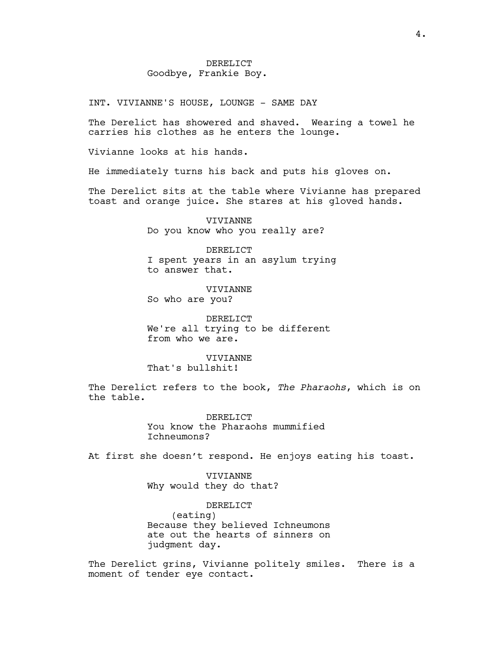## DERELICT Goodbye, Frankie Boy.

INT. VIVIANNE'S HOUSE, LOUNGE - SAME DAY

The Derelict has showered and shaved. Wearing a towel he carries his clothes as he enters the lounge.

Vivianne looks at his hands.

He immediately turns his back and puts his gloves on.

The Derelict sits at the table where Vivianne has prepared toast and orange juice. She stares at his gloved hands.

> VIVIANNE Do you know who you really are?

DERELICT I spent years in an asylum trying to answer that.

VIVIANNE So who are you?

DERELICT We're all trying to be different from who we are.

VIVIANNE That's bullshit!

The Derelict refers to the book, The Pharaohs, which is on the table.

> DERELICT You know the Pharaohs mummified Ichneumons?

At first she doesn't respond. He enjoys eating his toast.

VIVIANNE Why would they do that?

DERELICT (eating) Because they believed Ichneumons ate out the hearts of sinners on judgment day.

The Derelict grins, Vivianne politely smiles. There is a moment of tender eye contact.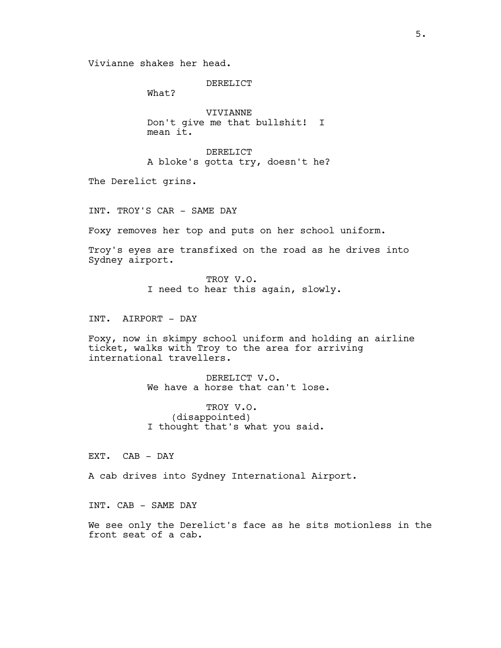Vivianne shakes her head.

DERELICT

What?

VIVIANNE Don't give me that bullshit! I mean it.

DERELICT A bloke's gotta try, doesn't he?

The Derelict grins.

INT. TROY'S CAR - SAME DAY

Foxy removes her top and puts on her school uniform.

Troy's eyes are transfixed on the road as he drives into Sydney airport.

> TROY V.O. I need to hear this again, slowly.

INT. AIRPORT - DAY

Foxy, now in skimpy school uniform and holding an airline ticket, walks with Troy to the area for arriving international travellers.

> DERELICT V.O. We have a horse that can't lose.

TROY V.O. (disappointed) I thought that's what you said.

EXT. CAB - DAY

A cab drives into Sydney International Airport.

INT. CAB - SAME DAY

We see only the Derelict's face as he sits motionless in the front seat of a cab.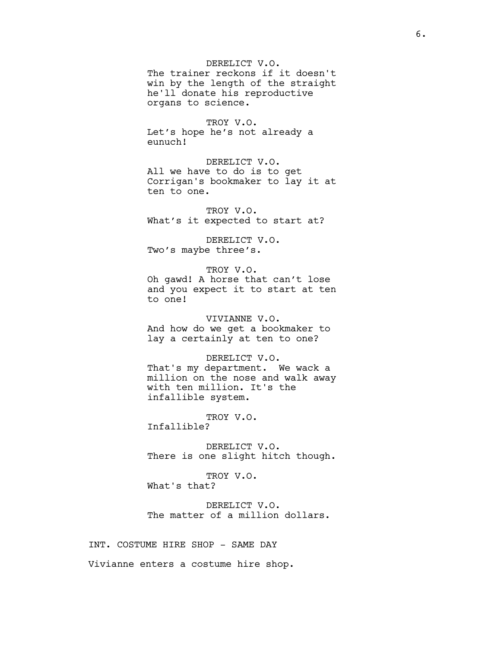DERELICT V.O. The trainer reckons if it doesn't win by the length of the straight he'll donate his reproductive organs to science.

TROY V.O. Let's hope he's not already a eunuch!

DERELICT V.O. All we have to do is to get Corrigan's bookmaker to lay it at ten to one.

TROY V.O. What's it expected to start at?

DERELICT V.O. Two's maybe three's.

TROY V.O. Oh gawd! A horse that can't lose and you expect it to start at ten to one!

VIVIANNE V.O. And how do we get a bookmaker to lay a certainly at ten to one?

DERELICT V.O. That's my department. We wack a million on the nose and walk away with ten million. It's the infallible system.

TROY V.O.

Infallible?

DERELICT V.O. There is one slight hitch though.

TROY V.O. What's that?

DERELICT V.O. The matter of a million dollars.

INT. COSTUME HIRE SHOP - SAME DAY

Vivianne enters a costume hire shop.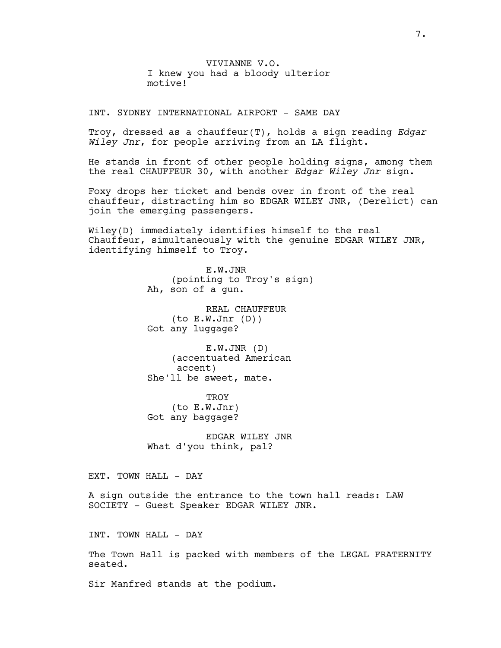VIVIANNE V.O. I knew you had a bloody ulterior motive!

INT. SYDNEY INTERNATIONAL AIRPORT - SAME DAY

Troy, dressed as a chauffeur(T), holds a sign reading Edgar Wiley Jnr, for people arriving from an LA flight.

He stands in front of other people holding signs, among them the real CHAUFFEUR 30, with another Edgar Wiley Jnr sign.

Foxy drops her ticket and bends over in front of the real chauffeur, distracting him so EDGAR WILEY JNR, (Derelict) can join the emerging passengers.

Wiley(D) immediately identifies himself to the real Chauffeur, simultaneously with the genuine EDGAR WILEY JNR, identifying himself to Troy.

> E.W.JNR (pointing to Troy's sign) Ah, son of a gun.

REAL CHAUFFEUR (to E.W.Jnr (D)) Got any luggage?

E.W.JNR (D) (accentuated American accent) She'll be sweet, mate.

**TROY** (to E.W.Jnr) Got any baggage?

EDGAR WILEY JNR What d'you think, pal?

EXT. TOWN HALL - DAY

A sign outside the entrance to the town hall reads: LAW SOCIETY - Guest Speaker EDGAR WILEY JNR.

INT. TOWN HALL - DAY

The Town Hall is packed with members of the LEGAL FRATERNITY seated.

Sir Manfred stands at the podium.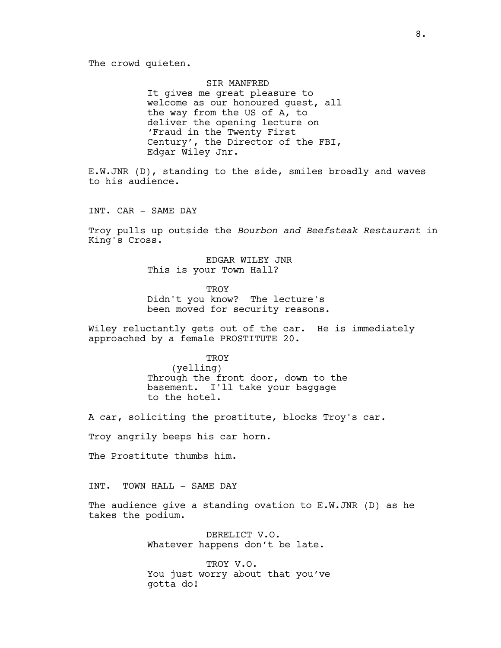# SIR MANFRED

It gives me great pleasure to welcome as our honoured guest, all the way from the US of A, to deliver the opening lecture on 'Fraud in the Twenty First Century', the Director of the FBI, Edgar Wiley Jnr.

E.W.JNR (D), standing to the side, smiles broadly and waves to his audience.

INT. CAR - SAME DAY

Troy pulls up outside the Bourbon and Beefsteak Restaurant in King's Cross.

> EDGAR WILEY JNR This is your Town Hall?

**TROY** Didn't you know? The lecture's been moved for security reasons.

Wiley reluctantly gets out of the car. He is immediately approached by a female PROSTITUTE 20.

> **TROY** (yelling) Through the front door, down to the basement. I'll take your baggage to the hotel.

A car, soliciting the prostitute, blocks Troy's car.

Troy angrily beeps his car horn.

The Prostitute thumbs him.

INT. TOWN HALL - SAME DAY

The audience give a standing ovation to E.W.JNR (D) as he takes the podium.

> DERELICT V.O. Whatever happens don't be late.

TROY V.O. You just worry about that you've gotta do!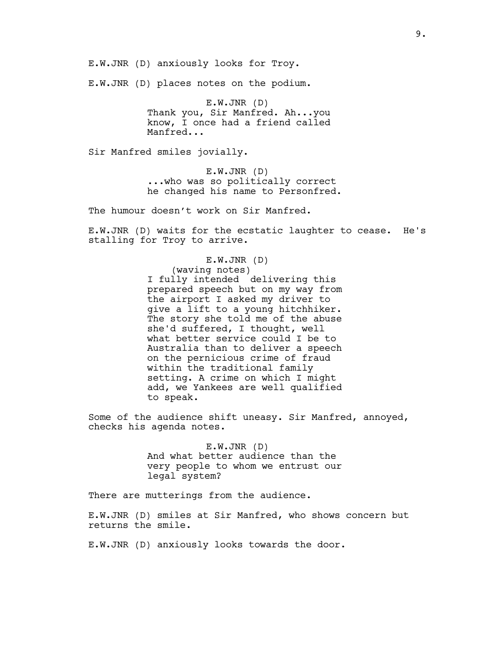E.W.JNR (D) anxiously looks for Troy.

E.W.JNR (D) places notes on the podium.

E.W.JNR (D) Thank you, Sir Manfred. Ah...you know, I once had a friend called Manfred...

Sir Manfred smiles jovially.

E.W.JNR (D) ...who was so politically correct he changed his name to Personfred.

The humour doesn't work on Sir Manfred.

E.W.JNR (D) waits for the ecstatic laughter to cease. He's stalling for Troy to arrive.

> E.W.JNR (D) (waving notes) I fully intended delivering this prepared speech but on my way from the airport I asked my driver to give a lift to a young hitchhiker. The story she told me of the abuse she'd suffered, I thought, well what better service could I be to Australia than to deliver a speech on the pernicious crime of fraud within the traditional family setting. A crime on which I might add, we Yankees are well qualified to speak.

Some of the audience shift uneasy. Sir Manfred, annoyed, checks his agenda notes.

> E.W.JNR (D) And what better audience than the very people to whom we entrust our legal system?

There are mutterings from the audience.

E.W.JNR (D) smiles at Sir Manfred, who shows concern but returns the smile.

E.W.JNR (D) anxiously looks towards the door.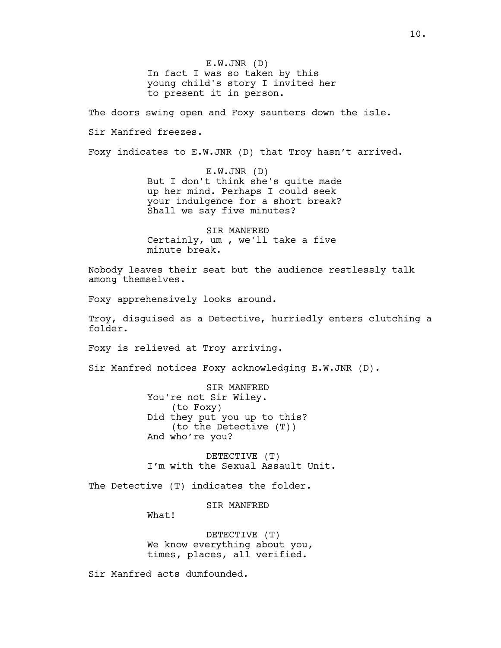E.W.JNR (D) In fact I was so taken by this young child's story I invited her to present it in person.

The doors swing open and Foxy saunters down the isle.

Sir Manfred freezes.

Foxy indicates to E.W.JNR (D) that Troy hasn't arrived.

E.W.JNR (D) But I don't think she's quite made up her mind. Perhaps I could seek your indulgence for a short break? Shall we say five minutes?

SIR MANFRED Certainly, um , we'll take a five minute break.

Nobody leaves their seat but the audience restlessly talk among themselves.

Foxy apprehensively looks around.

Troy, disguised as a Detective, hurriedly enters clutching a folder.

Foxy is relieved at Troy arriving.

Sir Manfred notices Foxy acknowledging E.W.JNR (D).

SIR MANFRED You're not Sir Wiley. (to Foxy) Did they put you up to this? (to the Detective (T)) And who're you?

DETECTIVE (T) I'm with the Sexual Assault Unit.

The Detective (T) indicates the folder.

SIR MANFRED

What!

DETECTIVE (T) We know everything about you, times, places, all verified.

Sir Manfred acts dumfounded.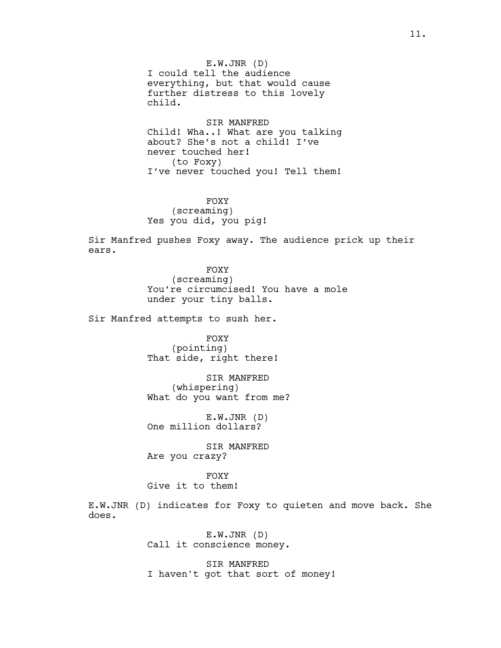E.W.JNR (D) I could tell the audience everything, but that would cause further distress to this lovely child.

SIR MANFRED Child! Wha..! What are you talking about? She's not a child! I've never touched her! (to Foxy) I've never touched you! Tell them!

FOXY (screaming) Yes you did, you pig!

Sir Manfred pushes Foxy away. The audience prick up their ears.

> FOXY (screaming) You're circumcised! You have a mole under your tiny balls.

Sir Manfred attempts to sush her.

FOXY (pointing) That side, right there!

SIR MANFRED (whispering) What do you want from me?

E.W.JNR (D) One million dollars?

SIR MANFRED Are you crazy?

**FOXY** Give it to them!

E.W.JNR (D) indicates for Foxy to quieten and move back. She does.

> E.W.JNR (D) Call it conscience money.

SIR MANFRED I haven't got that sort of money!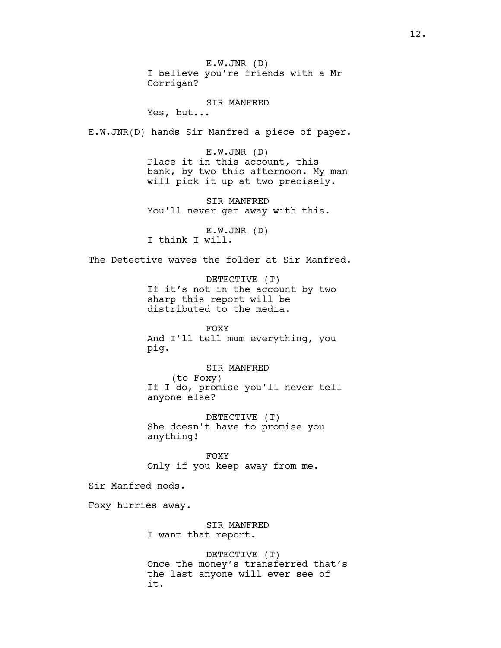E.W.JNR (D) I believe you're friends with a Mr Corrigan?

SIR MANFRED

Yes, but...

E.W.JNR(D) hands Sir Manfred a piece of paper.

E.W.JNR (D) Place it in this account, this bank, by two this afternoon. My man will pick it up at two precisely.

SIR MANFRED You'll never get away with this.

E.W.JNR (D) I think I will.

The Detective waves the folder at Sir Manfred.

DETECTIVE (T) If it's not in the account by two sharp this report will be distributed to the media.

FOXY And I'll tell mum everything, you pig.

SIR MANFRED (to Foxy) If I do, promise you'll never tell anyone else?

DETECTIVE (T) She doesn't have to promise you anything!

FOXY Only if you keep away from me.

Sir Manfred nods.

Foxy hurries away.

SIR MANFRED I want that report.

DETECTIVE (T) Once the money's transferred that's the last anyone will ever see of it.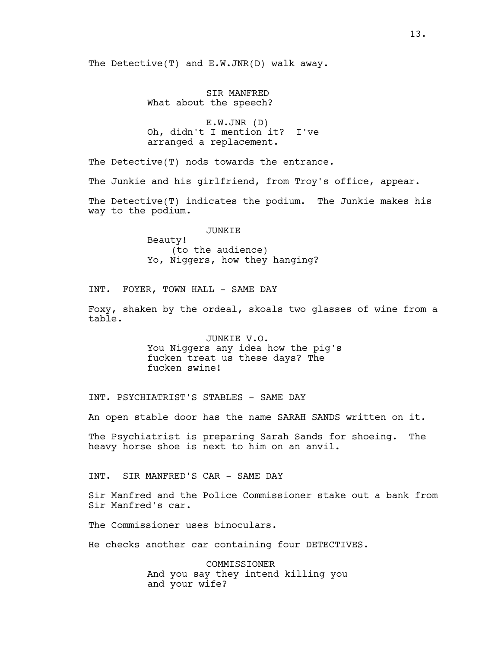The Detective(T) and E.W.JNR(D) walk away.

SIR MANFRED What about the speech?

E.W.JNR (D) Oh, didn't I mention it? I've arranged a replacement.

The Detective(T) nods towards the entrance.

The Junkie and his girlfriend, from Troy's office, appear.

The Detective(T) indicates the podium. The Junkie makes his way to the podium.

JUNKIE

Beauty! (to the audience) Yo, Niggers, how they hanging?

INT. FOYER, TOWN HALL - SAME DAY

Foxy, shaken by the ordeal, skoals two glasses of wine from a table.

> JUNKIE V.O. You Niggers any idea how the pig's fucken treat us these days? The fucken swine!

INT. PSYCHIATRIST'S STABLES - SAME DAY

An open stable door has the name SARAH SANDS written on it.

The Psychiatrist is preparing Sarah Sands for shoeing. The heavy horse shoe is next to him on an anvil.

INT. SIR MANFRED'S CAR - SAME DAY

Sir Manfred and the Police Commissioner stake out a bank from Sir Manfred's car.

The Commissioner uses binoculars.

He checks another car containing four DETECTIVES.

COMMISSIONER And you say they intend killing you and your wife?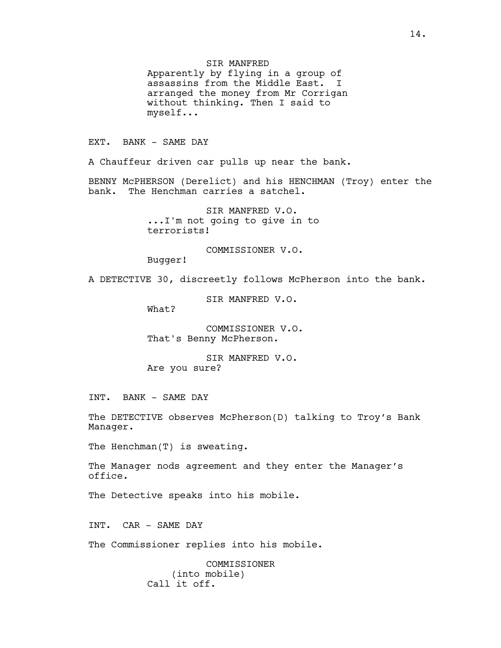## SIR MANFRED

Apparently by flying in a group of<br>assassins from the Middle East. I assassins from the Middle East. arranged the money from Mr Corrigan without thinking. Then I said to myself...

EXT. BANK - SAME DAY

A Chauffeur driven car pulls up near the bank.

BENNY McPHERSON (Derelict) and his HENCHMAN (Troy) enter the bank. The Henchman carries a satchel.

> SIR MANFRED V.O. ...I'm not going to give in to terrorists!

> > COMMISSIONER V.O.

Bugger!

A DETECTIVE 30, discreetly follows McPherson into the bank.

SIR MANFRED V.O.

What?

COMMISSIONER V.O. That's Benny McPherson.

SIR MANFRED V.O. Are you sure?

INT. BANK - SAME DAY

The DETECTIVE observes McPherson(D) talking to Troy's Bank Manager.

The Henchman(T) is sweating.

The Manager nods agreement and they enter the Manager's office.

The Detective speaks into his mobile.

INT. CAR - SAME DAY

The Commissioner replies into his mobile.

COMMISSIONER (into mobile) Call it off.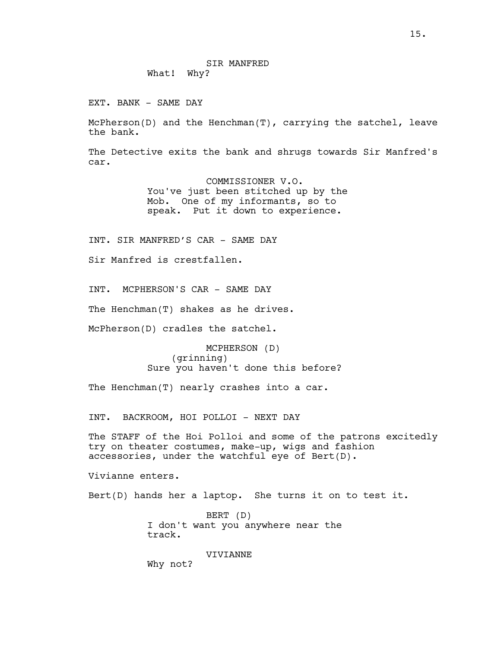SIR MANFRED What! Why?

EXT. BANK - SAME DAY

 $McPherson(D)$  and the Henchman(T), carrying the satchel, leave the bank.

The Detective exits the bank and shrugs towards Sir Manfred's car.

> COMMISSIONER V.O. You've just been stitched up by the Mob. One of my informants, so to speak. Put it down to experience.

INT. SIR MANFRED'S CAR - SAME DAY

Sir Manfred is crestfallen.

INT. MCPHERSON'S CAR - SAME DAY

The Henchman(T) shakes as he drives.

McPherson(D) cradles the satchel.

MCPHERSON (D) (grinning) Sure you haven't done this before?

The Henchman(T) nearly crashes into a car.

INT. BACKROOM, HOI POLLOI - NEXT DAY

The STAFF of the Hoi Polloi and some of the patrons excitedly try on theater costumes, make-up, wigs and fashion accessories, under the watchful eye of Bert(D).

Vivianne enters.

 $Bert(D)$  hands her a laptop. She turns it on to test it.

BERT (D) I don't want you anywhere near the track.

VIVIANNE

Why not?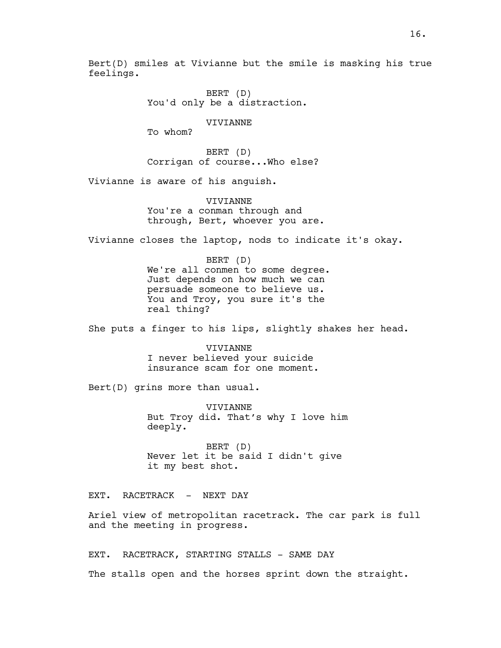Bert(D) smiles at Vivianne but the smile is masking his true feelings.

> BERT (D) You'd only be a distraction.

> > VIVIANNE

To whom?

BERT (D) Corrigan of course...Who else?

Vivianne is aware of his anguish.

VIVIANNE You're a conman through and through, Bert, whoever you are.

Vivianne closes the laptop, nods to indicate it's okay.

BERT (D) We're all conmen to some degree. Just depends on how much we can persuade someone to believe us. You and Troy, you sure it's the real thing?

She puts a finger to his lips, slightly shakes her head.

VIVIANNE I never believed your suicide insurance scam for one moment.

Bert(D) grins more than usual.

VIVIANNE But Troy did. That's why I love him deeply.

BERT (D) Never let it be said I didn't give it my best shot.

EXT. RACETRACK - NEXT DAY

Ariel view of metropolitan racetrack. The car park is full and the meeting in progress.

EXT. RACETRACK, STARTING STALLS - SAME DAY

The stalls open and the horses sprint down the straight.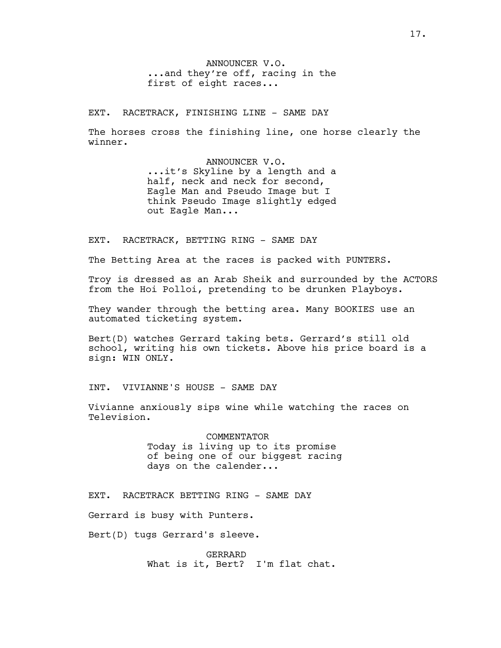ANNOUNCER V.O. ...and they're off, racing in the first of eight races...

EXT. RACETRACK, FINISHING LINE - SAME DAY

The horses cross the finishing line, one horse clearly the winner.

> ANNOUNCER V.O. ...it's Skyline by a length and a half, neck and neck for second, Eagle Man and Pseudo Image but I think Pseudo Image slightly edged out Eagle Man...

EXT. RACETRACK, BETTING RING - SAME DAY

The Betting Area at the races is packed with PUNTERS.

Troy is dressed as an Arab Sheik and surrounded by the ACTORS from the Hoi Polloi, pretending to be drunken Playboys.

They wander through the betting area. Many BOOKIES use an automated ticketing system.

Bert(D) watches Gerrard taking bets. Gerrard's still old school, writing his own tickets. Above his price board is a sign: WIN ONLY.

INT. VIVIANNE'S HOUSE - SAME DAY

Vivianne anxiously sips wine while watching the races on Television.

> COMMENTATOR Today is living up to its promise of being one of our biggest racing days on the calender...

EXT. RACETRACK BETTING RING - SAME DAY

Gerrard is busy with Punters.

Bert(D) tugs Gerrard's sleeve.

GERRARD What is it, Bert? I'm flat chat.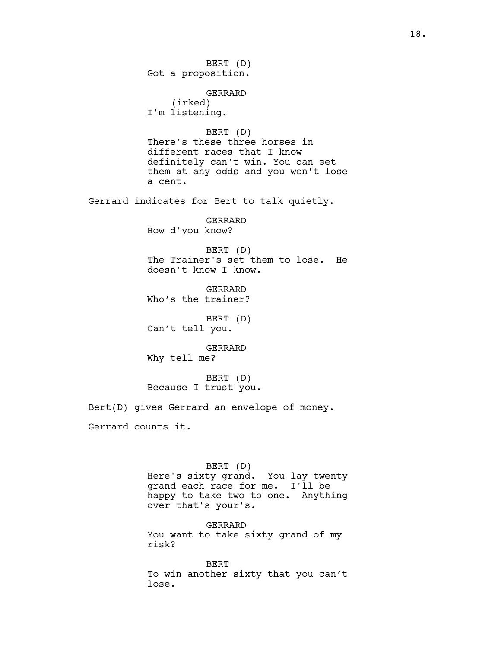BERT (D) Got a proposition. GERRARD (irked) I'm listening. BERT (D) There's these three horses in different races that I know definitely can't win. You can set them at any odds and you won't lose a cent. Gerrard indicates for Bert to talk quietly. GERRARD How d'you know? BERT (D) The Trainer's set them to lose. He doesn't know I know. GERRARD Who's the trainer? BERT (D) Can't tell you. GERRARD Why tell me? BERT (D) Because I trust you. Bert(D) gives Gerrard an envelope of money. Gerrard counts it. BERT (D) Here's sixty grand. You lay twenty grand each race for me. I'll be happy to take two to one. Anything over that's your's. GERRARD

You want to take sixty grand of my risk?

**BERT** To win another sixty that you can't lose.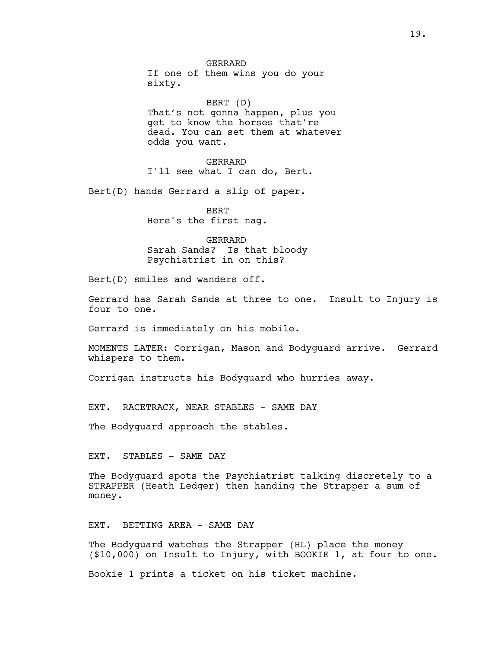GERRARD If one of them wins you do your sixty.

BERT (D) That's not gonna happen, plus you get to know the horses that're dead. You can set them at whatever odds you want.

GERRARD I'll see what I can do, Bert.

Bert(D) hands Gerrard a slip of paper.

**BERT** Here's the first nag.

GERRARD Sarah Sands? Is that bloody Psychiatrist in on this?

Bert(D) smiles and wanders off.

Gerrard has Sarah Sands at three to one. Insult to Injury is four to one.

Gerrard is immediately on his mobile.

MOMENTS LATER: Corrigan, Mason and Bodyguard arrive. Gerrard whispers to them.

Corrigan instructs his Bodyguard who hurries away.

EXT. RACETRACK, NEAR STABLES - SAME DAY

The Bodyguard approach the stables.

EXT. STABLES - SAME DAY

The Bodyguard spots the Psychiatrist talking discretely to a STRAPPER (Heath Ledger) then handing the Strapper a sum of money.

EXT. BETTING AREA - SAME DAY

The Bodyguard watches the Strapper (HL) place the money (\$10,000) on Insult to Injury, with BOOKIE 1, at four to one.

Bookie 1 prints a ticket on his ticket machine.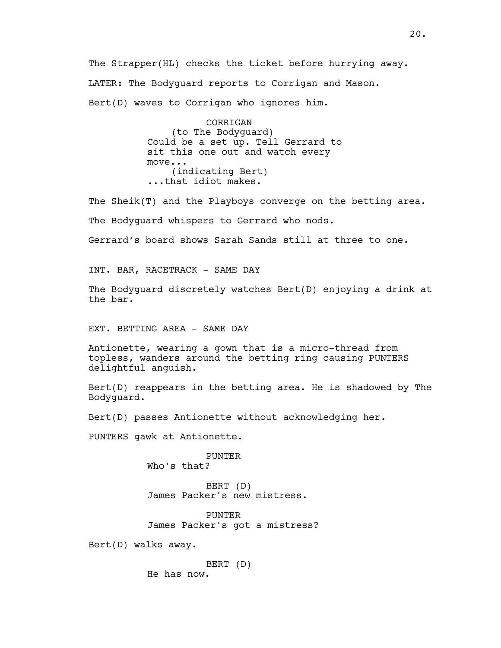The Strapper(HL) checks the ticket before hurrying away. LATER: The Bodyguard reports to Corrigan and Mason. Bert(D) waves to Corrigan who ignores him.

> CORRIGAN (to The Bodyguard) Could be a set up. Tell Gerrard to sit this one out and watch every move... (indicating Bert) ...that idiot makes.

The Sheik(T) and the Playboys converge on the betting area. The Bodyguard whispers to Gerrard who nods.

Gerrard's board shows Sarah Sands still at three to one.

INT. BAR, RACETRACK - SAME DAY

The Bodyguard discretely watches Bert(D) enjoying a drink at the bar.

EXT. BETTING AREA - SAME DAY

Antionette, wearing a gown that is a micro-thread from topless, wanders around the betting ring causing PUNTERS delightful anguish.

 $Bert(D)$  reappears in the betting area. He is shadowed by The Bodyguard.

Bert(D) passes Antionette without acknowledging her.

PUNTERS gawk at Antionette.

PUNTER Who's that?

BERT (D) James Packer's new mistress.

PUNTER James Packer's got a mistress?

Bert(D) walks away.

BERT (D)

He has now.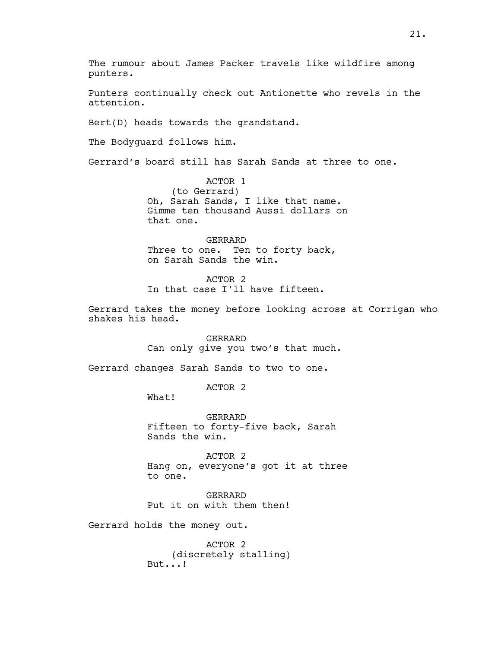The rumour about James Packer travels like wildfire among punters. Punters continually check out Antionette who revels in the attention. Bert(D) heads towards the grandstand. The Bodyguard follows him. Gerrard's board still has Sarah Sands at three to one. ACTOR 1 (to Gerrard) Oh, Sarah Sands, I like that name. Gimme ten thousand Aussi dollars on that one. GERRARD Three to one. Ten to forty back, on Sarah Sands the win. ACTOR 2 In that case I'll have fifteen. Gerrard takes the money before looking across at Corrigan who shakes his head. GERRARD Can only give you two's that much. Gerrard changes Sarah Sands to two to one. ACTOR 2 What! GERRARD Fifteen to forty-five back, Sarah Sands the win. ACTOR 2 Hang on, everyone's got it at three to one. GERRARD Put it on with them then! Gerrard holds the money out. ACTOR 2 (discretely stalling) But...!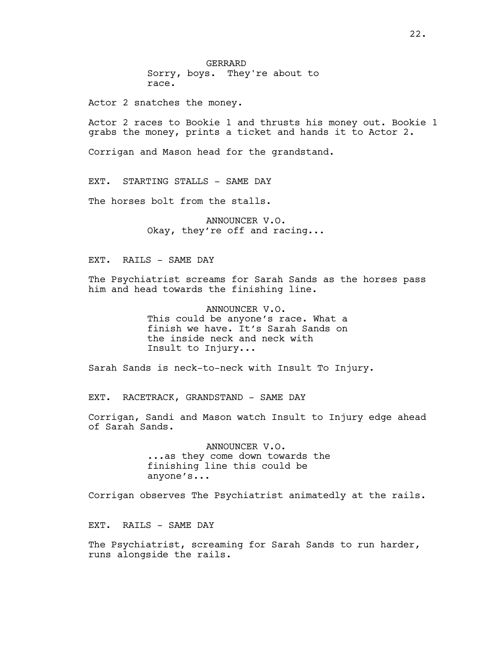GERRARD Sorry, boys. They're about to race.

Actor 2 snatches the money.

Actor 2 races to Bookie 1 and thrusts his money out. Bookie 1 grabs the money, prints a ticket and hands it to Actor 2.

Corrigan and Mason head for the grandstand.

EXT. STARTING STALLS - SAME DAY

The horses bolt from the stalls.

ANNOUNCER V.O. Okay, they're off and racing...

EXT. RAILS - SAME DAY

The Psychiatrist screams for Sarah Sands as the horses pass him and head towards the finishing line.

> ANNOUNCER V.O. This could be anyone's race. What a finish we have. It's Sarah Sands on the inside neck and neck with Insult to Injury...

Sarah Sands is neck-to-neck with Insult To Injury.

EXT. RACETRACK, GRANDSTAND - SAME DAY

Corrigan, Sandi and Mason watch Insult to Injury edge ahead of Sarah Sands.

> ANNOUNCER V.O. ...as they come down towards the finishing line this could be anyone's...

Corrigan observes The Psychiatrist animatedly at the rails.

EXT. RAILS - SAME DAY

The Psychiatrist, screaming for Sarah Sands to run harder, runs alongside the rails.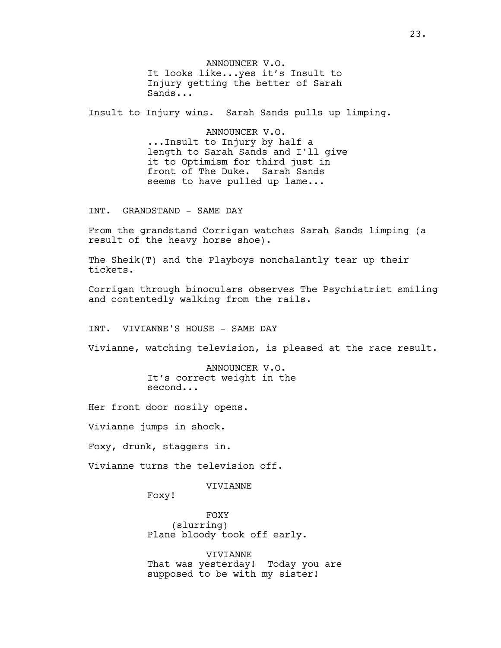ANNOUNCER V.O. It looks like...yes it's Insult to Injury getting the better of Sarah Sands...

Insult to Injury wins. Sarah Sands pulls up limping.

ANNOUNCER V.O. ...Insult to Injury by half a length to Sarah Sands and I'll give it to Optimism for third just in front of The Duke. Sarah Sands seems to have pulled up lame...

INT. GRANDSTAND - SAME DAY

From the grandstand Corrigan watches Sarah Sands limping (a result of the heavy horse shoe).

The Sheik(T) and the Playboys nonchalantly tear up their tickets.

Corrigan through binoculars observes The Psychiatrist smiling and contentedly walking from the rails.

INT. VIVIANNE'S HOUSE - SAME DAY

Vivianne, watching television, is pleased at the race result.

ANNOUNCER V.O. It's correct weight in the second...

Her front door nosily opens.

Vivianne jumps in shock.

Foxy, drunk, staggers in.

Vivianne turns the television off.

VIVIANNE

Foxy!

**FOXY** (slurring) Plane bloody took off early.

VIVIANNE That was yesterday! Today you are supposed to be with my sister!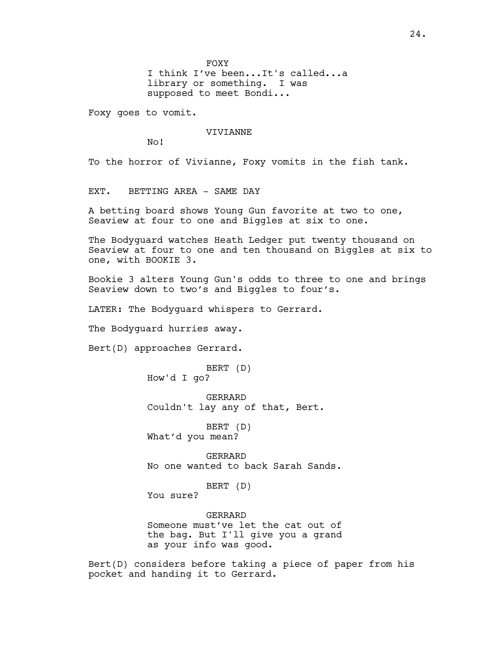**FOXY** 

I think I've been...It's called...a library or something. I was supposed to meet Bondi...

Foxy goes to vomit.

### VIVIANNE

No!

To the horror of Vivianne, Foxy vomits in the fish tank.

EXT. BETTING AREA - SAME DAY

A betting board shows Young Gun favorite at two to one, Seaview at four to one and Biggles at six to one.

The Bodyguard watches Heath Ledger put twenty thousand on Seaview at four to one and ten thousand on Biggles at six to one, with BOOKIE 3.

Bookie 3 alters Young Gun's odds to three to one and brings Seaview down to two's and Biggles to four's.

LATER: The Bodyguard whispers to Gerrard.

The Bodyguard hurries away.

Bert(D) approaches Gerrard.

BERT (D) How'd I go?

GERRARD Couldn't lay any of that, Bert.

BERT (D) What'd you mean?

GERRARD No one wanted to back Sarah Sands.

BERT (D) You sure?

GERRARD Someone must've let the cat out of the bag. But I'll give you a grand as your info was good.

Bert(D) considers before taking a piece of paper from his pocket and handing it to Gerrard.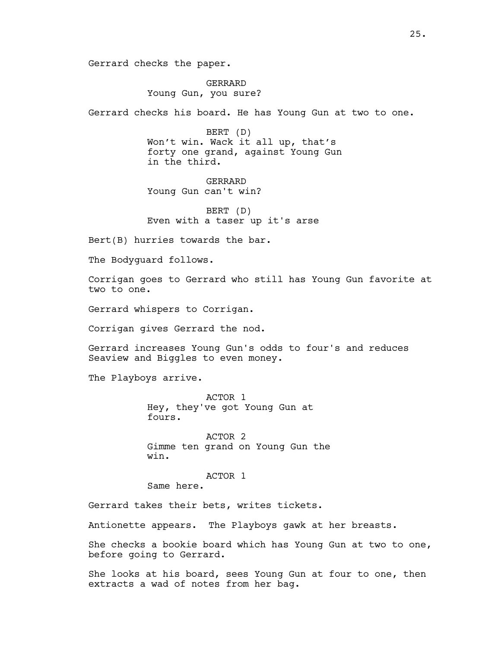Gerrard checks the paper.

GERRARD Young Gun, you sure?

Gerrard checks his board. He has Young Gun at two to one.

BERT (D) Won't win. Wack it all up, that's forty one grand, against Young Gun in the third.

GERRARD Young Gun can't win?

BERT (D) Even with a taser up it's arse

Bert(B) hurries towards the bar.

The Bodyguard follows.

Corrigan goes to Gerrard who still has Young Gun favorite at two to one.

Gerrard whispers to Corrigan.

Corrigan gives Gerrard the nod.

Gerrard increases Young Gun's odds to four's and reduces Seaview and Biggles to even money.

The Playboys arrive.

ACTOR 1 Hey, they've got Young Gun at fours.

ACTOR 2 Gimme ten grand on Young Gun the win.

### ACTOR 1

Same here.

Gerrard takes their bets, writes tickets.

Antionette appears. The Playboys gawk at her breasts.

She checks a bookie board which has Young Gun at two to one, before going to Gerrard.

She looks at his board, sees Young Gun at four to one, then extracts a wad of notes from her bag.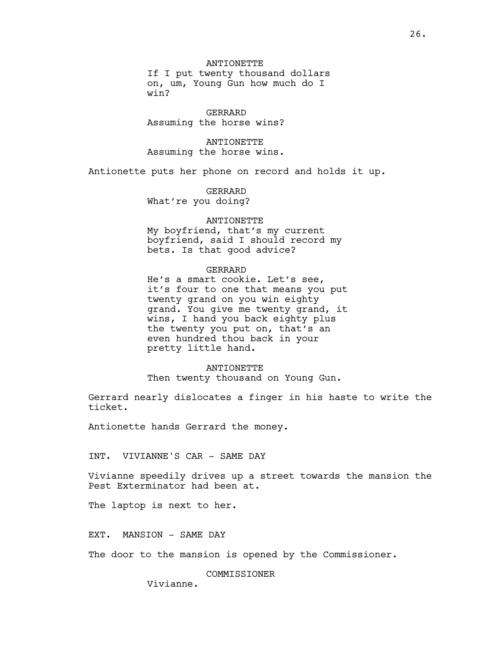ANTIONETTE

If I put twenty thousand dollars on, um, Young Gun how much do I win?

GERRARD Assuming the horse wins?

ANTIONETTE Assuming the horse wins.

Antionette puts her phone on record and holds it up.

GERRARD What're you doing?

## ANTIONETTE

My boyfriend, that's my current boyfriend, said I should record my bets. Is that good advice?

### GERRARD

He's a smart cookie. Let's see, it's four to one that means you put twenty grand on you win eighty grand. You give me twenty grand, it wins, I hand you back eighty plus the twenty you put on, that's an even hundred thou back in your pretty little hand.

#### **ANTIONETTE**

Then twenty thousand on Young Gun.

Gerrard nearly dislocates a finger in his haste to write the ticket.

Antionette hands Gerrard the money.

INT. VIVIANNE'S CAR - SAME DAY

Vivianne speedily drives up a street towards the mansion the Pest Exterminator had been at.

The laptop is next to her.

EXT. MANSION - SAME DAY

The door to the mansion is opened by the Commissioner.

COMMISSIONER

Vivianne.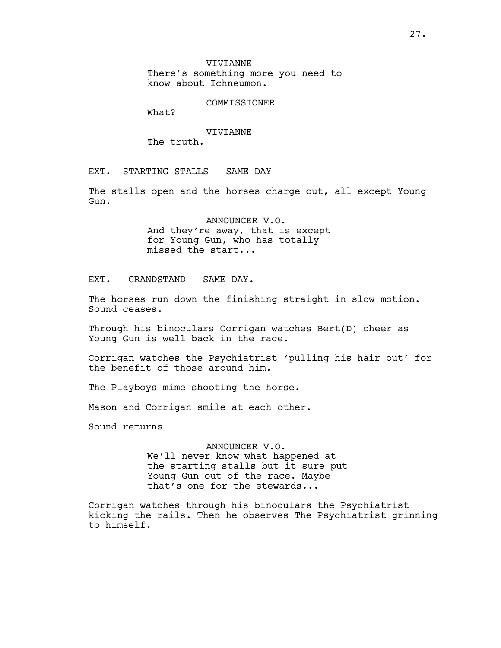VIVIANNE There's something more you need to know about Ichneumon.

#### COMMISSIONER

What?

### VIVIANNE

The truth.

EXT. STARTING STALLS - SAME DAY

The stalls open and the horses charge out, all except Young Gun.

> ANNOUNCER V.O. And they're away, that is except for Young Gun, who has totally missed the start...

EXT. GRANDSTAND - SAME DAY.

The horses run down the finishing straight in slow motion. Sound ceases.

Through his binoculars Corrigan watches Bert(D) cheer as Young Gun is well back in the race.

Corrigan watches the Psychiatrist 'pulling his hair out' for the benefit of those around him.

The Playboys mime shooting the horse.

Mason and Corrigan smile at each other.

Sound returns

ANNOUNCER V.O. We'll never know what happened at the starting stalls but it sure put Young Gun out of the race. Maybe that's one for the stewards...

Corrigan watches through his binoculars the Psychiatrist kicking the rails. Then he observes The Psychiatrist grinning to himself.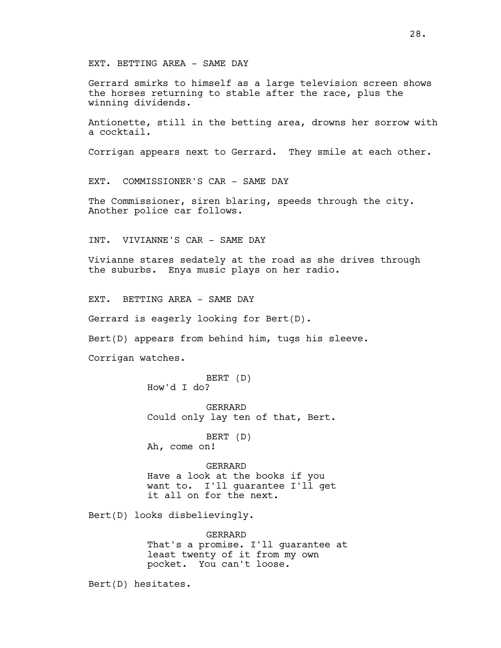EXT. BETTING AREA - SAME DAY

Gerrard smirks to himself as a large television screen shows the horses returning to stable after the race, plus the winning dividends.

Antionette, still in the betting area, drowns her sorrow with a cocktail.

Corrigan appears next to Gerrard. They smile at each other.

EXT. COMMISSIONER'S CAR - SAME DAY

The Commissioner, siren blaring, speeds through the city. Another police car follows.

INT. VIVIANNE'S CAR - SAME DAY

Vivianne stares sedately at the road as she drives through the suburbs. Enya music plays on her radio.

EXT. BETTING AREA - SAME DAY

Gerrard is eagerly looking for Bert(D).

Bert(D) appears from behind him, tugs his sleeve.

Corrigan watches.

BERT (D) How'd I do?

GERRARD Could only lay ten of that, Bert.

BERT (D) Ah, come on!

GERRARD Have a look at the books if you want to. I'll guarantee I'll get it all on for the next.

Bert(D) looks disbelievingly.

GERRARD That's a promise. I'll guarantee at least twenty of it from my own pocket. You can't loose.

Bert(D) hesitates.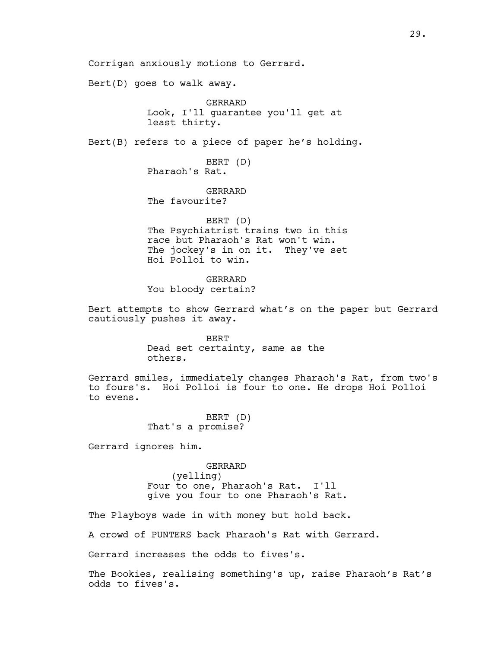Corrigan anxiously motions to Gerrard. Bert(D) goes to walk away. GERRARD Look, I'll guarantee you'll get at least thirty. Bert(B) refers to a piece of paper he's holding. BERT (D) Pharaoh's Rat. GERRARD The favourite? BERT (D) The Psychiatrist trains two in this race but Pharaoh's Rat won't win. The jockey's in on it. They've set Hoi Polloi to win. GERRARD You bloody certain? Bert attempts to show Gerrard what's on the paper but Gerrard cautiously pushes it away.

> BERT Dead set certainty, same as the others.

Gerrard smiles, immediately changes Pharaoh's Rat, from two's to fours's. Hoi Polloi is four to one. He drops Hoi Polloi to evens.

> BERT (D) That's a promise?

Gerrard ignores him.

GERRARD (yelling) Four to one, Pharaoh's Rat. I'll give you four to one Pharaoh's Rat.

The Playboys wade in with money but hold back.

A crowd of PUNTERS back Pharaoh's Rat with Gerrard.

Gerrard increases the odds to fives's.

The Bookies, realising something's up, raise Pharaoh's Rat's odds to fives's.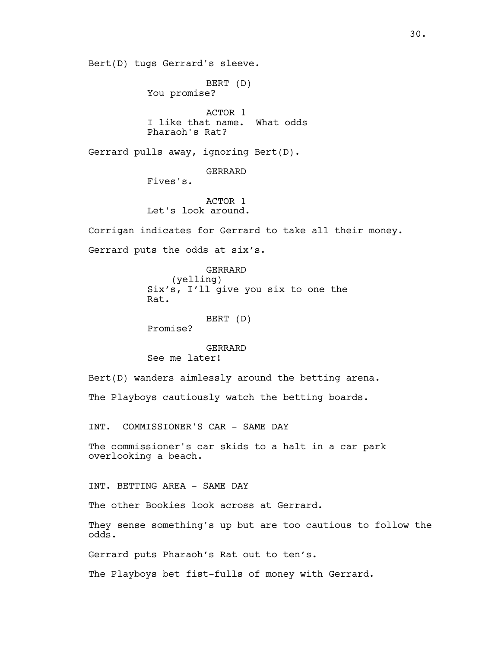Bert(D) tugs Gerrard's sleeve.

BERT (D) You promise? ACTOR 1 I like that name. What odds Pharaoh's Rat? Gerrard pulls away, ignoring Bert(D). GERRARD Fives's.

> ACTOR 1 Let's look around.

Corrigan indicates for Gerrard to take all their money. Gerrard puts the odds at six's.

> GERRARD (yelling) Six's, I'll give you six to one the Rat.

> > BERT (D)

Promise?

GERRARD See me later!

Bert(D) wanders aimlessly around the betting arena.

The Playboys cautiously watch the betting boards.

INT. COMMISSIONER'S CAR - SAME DAY

The commissioner's car skids to a halt in a car park overlooking a beach.

INT. BETTING AREA - SAME DAY

The other Bookies look across at Gerrard.

They sense something's up but are too cautious to follow the odds.

Gerrard puts Pharaoh's Rat out to ten's.

The Playboys bet fist-fulls of money with Gerrard.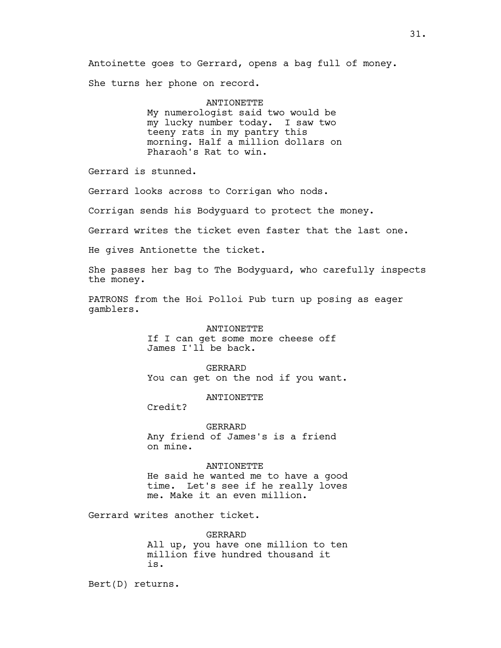Antoinette goes to Gerrard, opens a bag full of money. She turns her phone on record.

> ANTIONETTE My numerologist said two would be my lucky number today. I saw two teeny rats in my pantry this morning. Half a million dollars on Pharaoh's Rat to win.

Gerrard is stunned.

Gerrard looks across to Corrigan who nods.

Corrigan sends his Bodyguard to protect the money.

Gerrard writes the ticket even faster that the last one.

He gives Antionette the ticket.

She passes her bag to The Bodyguard, who carefully inspects the money.

PATRONS from the Hoi Polloi Pub turn up posing as eager gamblers.

> ANTIONETTE If I can get some more cheese off James I'll be back.

GERRARD You can get on the nod if you want.

ANTIONETTE

Credit?

GERRARD Any friend of James's is a friend on mine.

ANTIONETTE He said he wanted me to have a good time. Let's see if he really loves me. Make it an even million.

Gerrard writes another ticket.

GERRARD All up, you have one million to ten million five hundred thousand it is.

Bert(D) returns.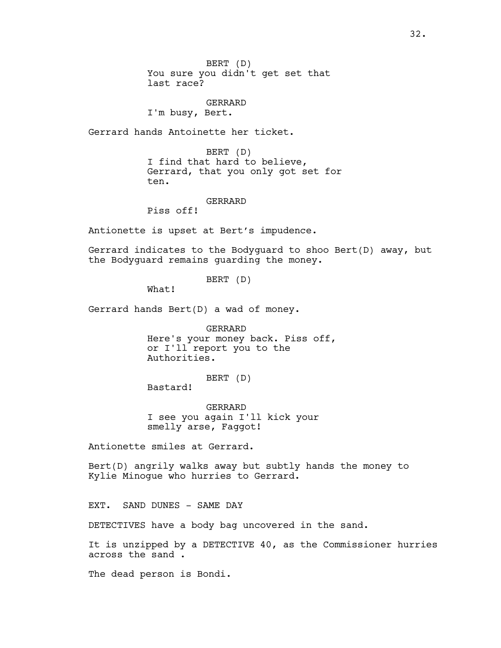BERT (D) You sure you didn't get set that last race?

GERRARD

I'm busy, Bert.

Gerrard hands Antoinette her ticket.

BERT (D) I find that hard to believe, Gerrard, that you only got set for ten.

GERRARD

Piss off!

Antionette is upset at Bert's impudence.

Gerrard indicates to the Bodyguard to shoo Bert(D) away, but the Bodyguard remains guarding the money.

BERT (D)

What!

Gerrard hands Bert(D) a wad of money.

GERRARD Here's your money back. Piss off, or I'll report you to the Authorities.

BERT (D)

Bastard!

GERRARD I see you again I'll kick your smelly arse, Faggot!

Antionette smiles at Gerrard.

Bert(D) angrily walks away but subtly hands the money to Kylie Minogue who hurries to Gerrard.

EXT. SAND DUNES - SAME DAY

DETECTIVES have a body bag uncovered in the sand.

It is unzipped by a DETECTIVE 40, as the Commissioner hurries across the sand .

The dead person is Bondi.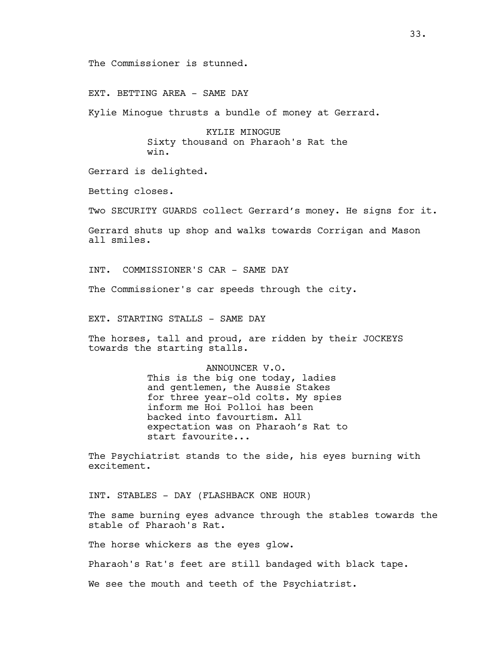The Commissioner is stunned.

EXT. BETTING AREA - SAME DAY

Kylie Minogue thrusts a bundle of money at Gerrard.

KYLIE MINOGUE Sixty thousand on Pharaoh's Rat the win.

Gerrard is delighted.

Betting closes.

Two SECURITY GUARDS collect Gerrard's money. He signs for it.

Gerrard shuts up shop and walks towards Corrigan and Mason all smiles.

INT. COMMISSIONER'S CAR - SAME DAY

The Commissioner's car speeds through the city.

EXT. STARTING STALLS - SAME DAY

The horses, tall and proud, are ridden by their JOCKEYS towards the starting stalls.

> ANNOUNCER V.O. This is the big one today, ladies and gentlemen, the Aussie Stakes for three year-old colts. My spies inform me Hoi Polloi has been backed into favourtism. All expectation was on Pharaoh's Rat to start favourite...

The Psychiatrist stands to the side, his eyes burning with excitement.

INT. STABLES - DAY (FLASHBACK ONE HOUR)

The same burning eyes advance through the stables towards the stable of Pharaoh's Rat.

The horse whickers as the eyes glow.

Pharaoh's Rat's feet are still bandaged with black tape.

We see the mouth and teeth of the Psychiatrist.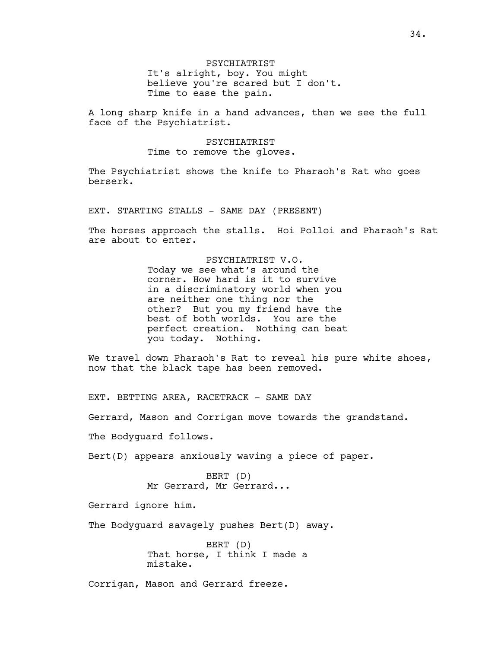PSYCHIATRIST It's alright, boy. You might believe you're scared but I don't. Time to ease the pain.

A long sharp knife in a hand advances, then we see the full face of the Psychiatrist.

> PSYCHIATRIST Time to remove the gloves.

The Psychiatrist shows the knife to Pharaoh's Rat who goes berserk.

EXT. STARTING STALLS - SAME DAY (PRESENT)

The horses approach the stalls. Hoi Polloi and Pharaoh's Rat are about to enter.

> PSYCHIATRIST V.O. Today we see what's around the corner. How hard is it to survive in a discriminatory world when you are neither one thing nor the other? But you my friend have the best of both worlds. You are the perfect creation. Nothing can beat you today. Nothing.

We travel down Pharaoh's Rat to reveal his pure white shoes, now that the black tape has been removed.

EXT. BETTING AREA, RACETRACK - SAME DAY

Gerrard, Mason and Corrigan move towards the grandstand.

The Bodyguard follows.

Bert(D) appears anxiously waving a piece of paper.

BERT (D) Mr Gerrard, Mr Gerrard...

Gerrard ignore him.

The Bodyguard savagely pushes Bert(D) away.

BERT (D) That horse, I think I made a mistake.

Corrigan, Mason and Gerrard freeze.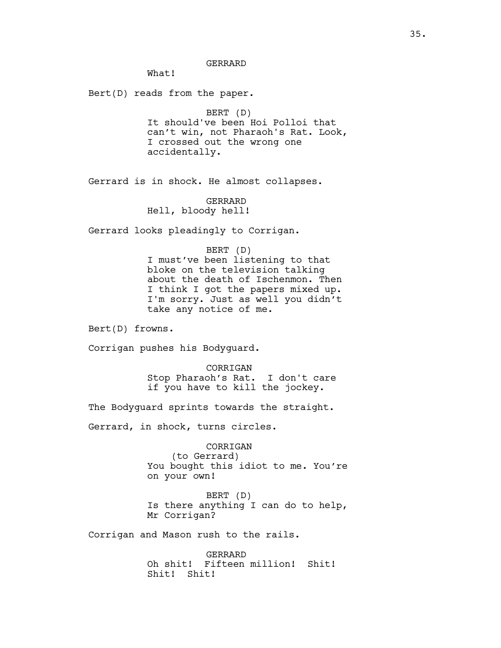What!

Bert(D) reads from the paper.

BERT (D) It should've been Hoi Polloi that can't win, not Pharaoh's Rat. Look, I crossed out the wrong one accidentally.

Gerrard is in shock. He almost collapses.

GERRARD Hell, bloody hell!

Gerrard looks pleadingly to Corrigan.

# BERT (D)

I must've been listening to that bloke on the television talking about the death of Ischenmon. Then I think I got the papers mixed up. I'm sorry. Just as well you didn't take any notice of me.

Bert(D) frowns.

Corrigan pushes his Bodyguard.

CORRIGAN Stop Pharaoh's Rat. I don't care if you have to kill the jockey.

The Bodyguard sprints towards the straight.

Gerrard, in shock, turns circles.

CORRIGAN (to Gerrard) You bought this idiot to me. You're on your own!

BERT (D) Is there anything I can do to help, Mr Corrigan?

Corrigan and Mason rush to the rails.

GERRARD Oh shit! Fifteen million! Shit! Shit! Shit!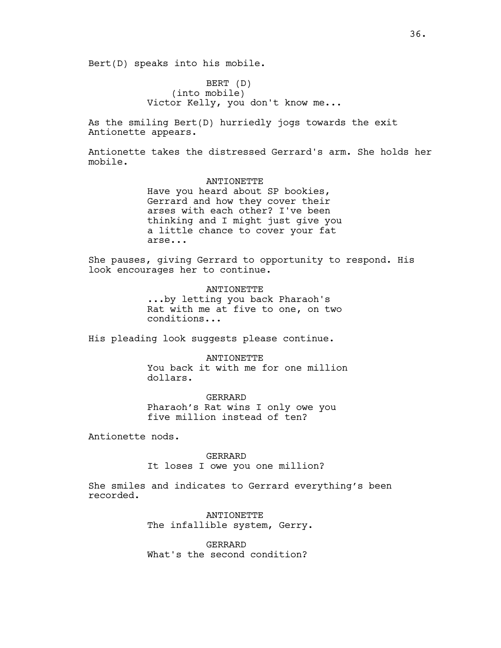Bert(D) speaks into his mobile.

BERT (D) (into mobile) Victor Kelly, you don't know me...

As the smiling Bert(D) hurriedly jogs towards the exit Antionette appears.

Antionette takes the distressed Gerrard's arm. She holds her mobile.

> ANTIONETTE Have you heard about SP bookies, Gerrard and how they cover their arses with each other? I've been thinking and I might just give you a little chance to cover your fat arse...

She pauses, giving Gerrard to opportunity to respond. His look encourages her to continue.

> ANTIONETTE ...by letting you back Pharaoh's Rat with me at five to one, on two conditions...

His pleading look suggests please continue.

ANTIONETTE You back it with me for one million dollars.

GERRARD Pharaoh's Rat wins I only owe you five million instead of ten?

Antionette nods.

GERRARD It loses I owe you one million?

She smiles and indicates to Gerrard everything's been recorded.

> ANTIONETTE The infallible system, Gerry.

GERRARD What's the second condition?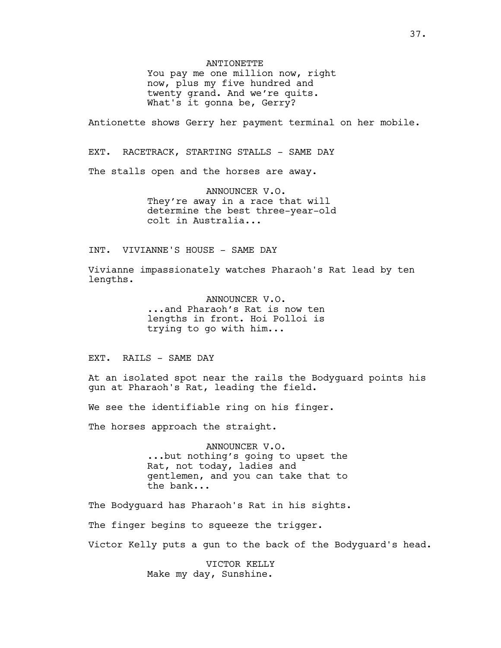ANTIONETTE

You pay me one million now, right now, plus my five hundred and twenty grand. And we're quits. What's it gonna be, Gerry?

Antionette shows Gerry her payment terminal on her mobile.

EXT. RACETRACK, STARTING STALLS - SAME DAY

The stalls open and the horses are away.

ANNOUNCER V.O. They're away in a race that will determine the best three-year-old colt in Australia...

INT. VIVIANNE'S HOUSE - SAME DAY

Vivianne impassionately watches Pharaoh's Rat lead by ten lengths.

> ANNOUNCER V.O. ...and Pharaoh's Rat is now ten lengths in front. Hoi Polloi is trying to go with him...

EXT. RAILS - SAME DAY

At an isolated spot near the rails the Bodyguard points his gun at Pharaoh's Rat, leading the field.

We see the identifiable ring on his finger.

The horses approach the straight.

ANNOUNCER V.O. ...but nothing's going to upset the Rat, not today, ladies and gentlemen, and you can take that to the bank...

The Bodyguard has Pharaoh's Rat in his sights. The finger begins to squeeze the trigger. Victor Kelly puts a gun to the back of the Bodyguard's head.

> VICTOR KELLY Make my day, Sunshine.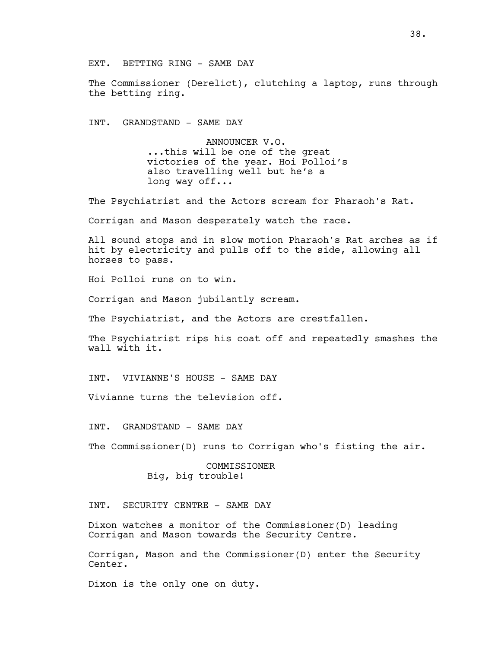EXT. BETTING RING - SAME DAY

The Commissioner (Derelict), clutching a laptop, runs through the betting ring.

INT. GRANDSTAND - SAME DAY

ANNOUNCER V.O. ...this will be one of the great victories of the year. Hoi Polloi's also travelling well but he's a long way off...

The Psychiatrist and the Actors scream for Pharaoh's Rat.

Corrigan and Mason desperately watch the race.

All sound stops and in slow motion Pharaoh's Rat arches as if hit by electricity and pulls off to the side, allowing all horses to pass.

Hoi Polloi runs on to win.

Corrigan and Mason jubilantly scream.

The Psychiatrist, and the Actors are crestfallen.

The Psychiatrist rips his coat off and repeatedly smashes the wall with it.

INT. VIVIANNE'S HOUSE - SAME DAY

Vivianne turns the television off.

INT. GRANDSTAND - SAME DAY

The Commissioner(D) runs to Corrigan who's fisting the air.

COMMISSIONER Big, big trouble!

INT. SECURITY CENTRE - SAME DAY

Dixon watches a monitor of the Commissioner(D) leading Corrigan and Mason towards the Security Centre.

Corrigan, Mason and the Commissioner(D) enter the Security Center.

Dixon is the only one on duty.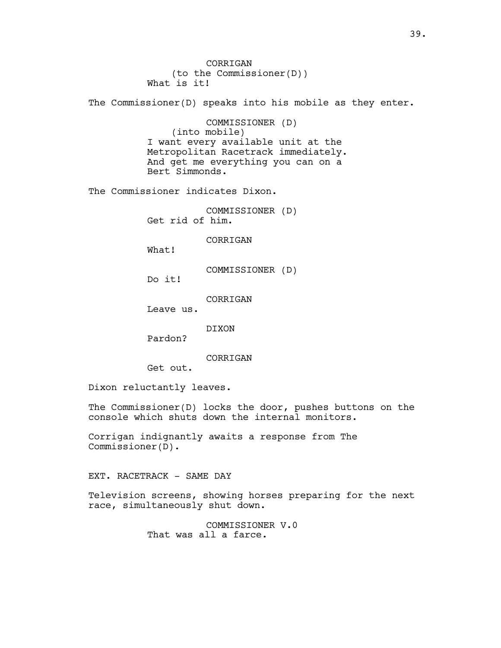CORRIGAN (to the Commissioner(D)) What is it! The Commissioner(D) speaks into his mobile as they enter. COMMISSIONER (D) (into mobile) I want every available unit at the Metropolitan Racetrack immediately. And get me everything you can on a Bert Simmonds. The Commissioner indicates Dixon. COMMISSIONER (D) Get rid of him. CORRIGAN What! COMMISSIONER (D) Do it! CORRIGAN Leave us. DIXON Pardon? CORRIGAN Get out. Dixon reluctantly leaves. The Commissioner(D) locks the door, pushes buttons on the console which shuts down the internal monitors. Corrigan indignantly awaits a response from The Commissioner(D). EXT. RACETRACK - SAME DAY

Television screens, showing horses preparing for the next race, simultaneously shut down.

> COMMISSIONER V.0 That was all a farce.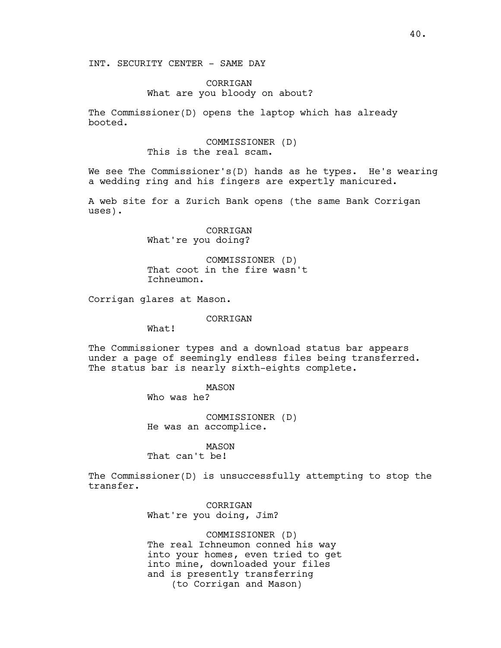## CORRIGAN What are you bloody on about?

The Commissioner(D) opens the laptop which has already booted.

# COMMISSIONER (D) This is the real scam.

We see The Commissioner's(D) hands as he types. He's wearing a wedding ring and his fingers are expertly manicured.

A web site for a Zurich Bank opens (the same Bank Corrigan uses).

> CORRIGAN What're you doing?

COMMISSIONER (D) That coot in the fire wasn't Ichneumon.

Corrigan glares at Mason.

## CORRIGAN

What!

The Commissioner types and a download status bar appears under a page of seemingly endless files being transferred. The status bar is nearly sixth-eights complete.

# MASON

Who was he?

COMMISSIONER (D) He was an accomplice.

### MASON

That can't be!

The Commissioner(D) is unsuccessfully attempting to stop the transfer.

> CORRIGAN What're you doing, Jim?

COMMISSIONER (D) The real Ichneumon conned his way into your homes, even tried to get into mine, downloaded your files and is presently transferring (to Corrigan and Mason)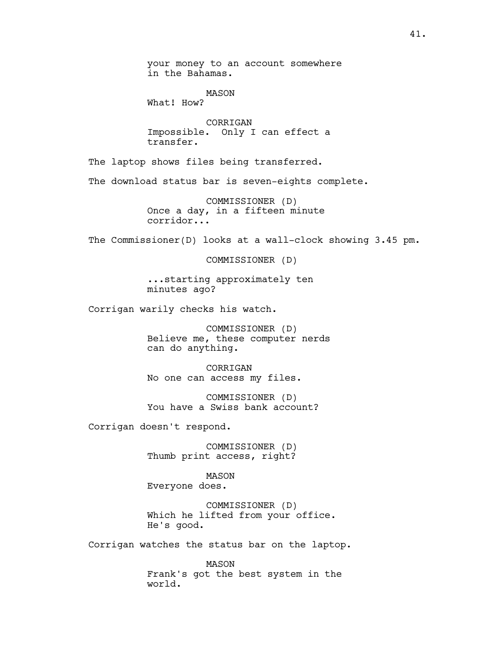your money to an account somewhere in the Bahamas.

## MASON

What! How?

CORRIGAN Impossible. Only I can effect a transfer.

The laptop shows files being transferred.

The download status bar is seven-eights complete.

COMMISSIONER (D) Once a day, in a fifteen minute corridor...

The Commissioner(D) looks at a wall-clock showing 3.45 pm.

COMMISSIONER (D)

...starting approximately ten minutes ago?

Corrigan warily checks his watch.

COMMISSIONER (D) Believe me, these computer nerds can do anything.

CORRIGAN No one can access my files.

COMMISSIONER (D) You have a Swiss bank account?

Corrigan doesn't respond.

COMMISSIONER (D) Thumb print access, right?

MASON

Everyone does.

COMMISSIONER (D) Which he lifted from your office. He's good.

Corrigan watches the status bar on the laptop.

MASON Frank's got the best system in the world.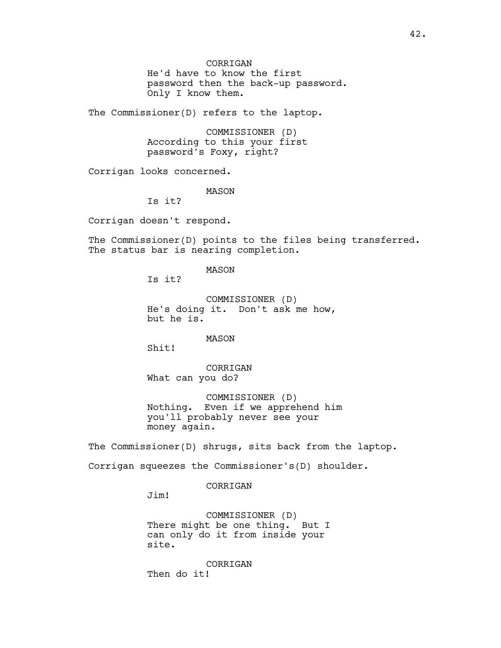**CORRIGAN** He'd have to know the first password then the back-up password. Only I know them.

The Commissioner(D) refers to the laptop.

COMMISSIONER (D) According to this your first password's Foxy, right?

Corrigan looks concerned.

MASON

Is it?

Corrigan doesn't respond.

The Commissioner(D) points to the files being transferred. The status bar is nearing completion.

MASON

Is it?

COMMISSIONER (D) He's doing it. Don't ask me how, but he is.

MASON

Shit!

CORRIGAN What can you do?

COMMISSIONER (D) Nothing. Even if we apprehend him you'll probably never see your money again.

The Commissioner(D) shrugs, sits back from the laptop.

Corrigan squeezes the Commissioner's(D) shoulder.

CORRIGAN

Jim!

COMMISSIONER (D) There might be one thing. But I can only do it from inside your site.

CORRIGAN Then do it!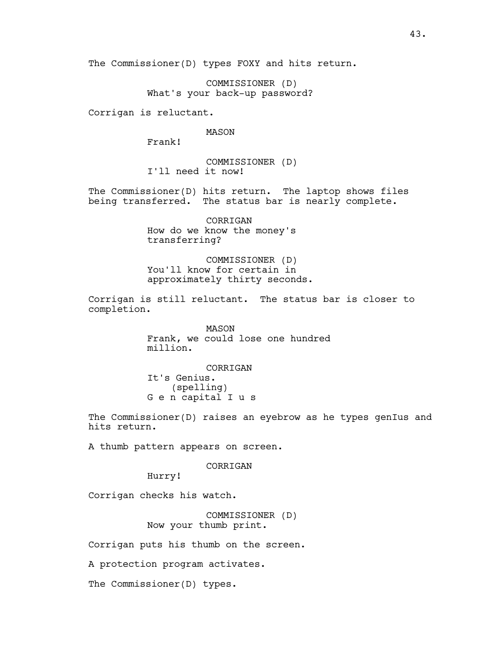The Commissioner(D) types FOXY and hits return.

COMMISSIONER (D) What's your back-up password?

Corrigan is reluctant.

### MASON

Frank!

COMMISSIONER (D) I'll need it now!

The Commissioner(D) hits return. The laptop shows files being transferred. The status bar is nearly complete.

> CORRIGAN How do we know the money's transferring?

COMMISSIONER (D) You'll know for certain in approximately thirty seconds.

Corrigan is still reluctant. The status bar is closer to completion.

> MASON Frank, we could lose one hundred million.

**CORRIGAN** It's Genius. (spelling) G e n capital I u s

The Commissioner(D) raises an eyebrow as he types genIus and hits return.

A thumb pattern appears on screen.

# CORRIGAN

Hurry!

Corrigan checks his watch.

COMMISSIONER (D) Now your thumb print.

Corrigan puts his thumb on the screen.

A protection program activates.

The Commissioner(D) types.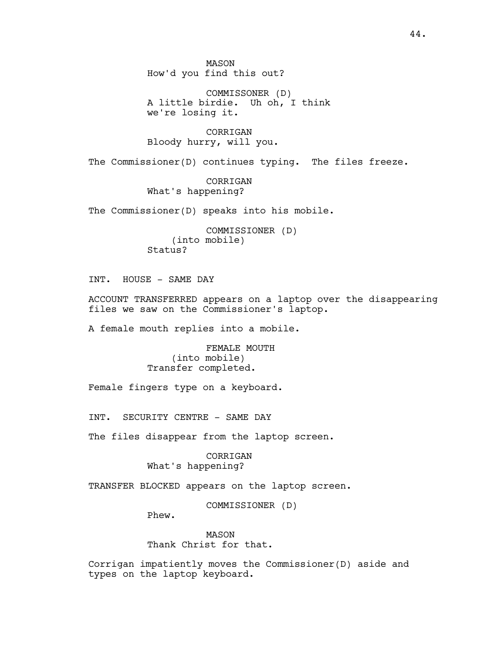MASON How'd you find this out?

COMMISSONER (D) A little birdie. Uh oh, I think we're losing it.

CORRIGAN Bloody hurry, will you.

The Commissioner(D) continues typing. The files freeze.

CORRIGAN What's happening?

The Commissioner(D) speaks into his mobile.

COMMISSIONER (D) (into mobile) Status?

INT. HOUSE - SAME DAY

ACCOUNT TRANSFERRED appears on a laptop over the disappearing files we saw on the Commissioner's laptop.

A female mouth replies into a mobile.

FEMALE MOUTH (into mobile) Transfer completed.

Female fingers type on a keyboard.

INT. SECURITY CENTRE - SAME DAY

The files disappear from the laptop screen.

CORRIGAN What's happening?

TRANSFER BLOCKED appears on the laptop screen.

COMMISSIONER (D)

Phew.

MASON Thank Christ for that.

Corrigan impatiently moves the Commissioner(D) aside and types on the laptop keyboard.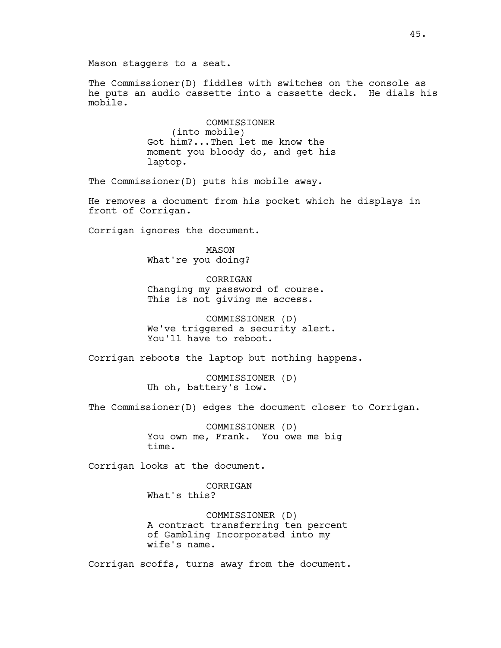Mason staggers to a seat.

The Commissioner(D) fiddles with switches on the console as he puts an audio cassette into a cassette deck. He dials his mobile.

> COMMISSIONER (into mobile) Got him?...Then let me know the moment you bloody do, and get his laptop.

The Commissioner(D) puts his mobile away.

He removes a document from his pocket which he displays in front of Corrigan.

Corrigan ignores the document.

MASON What're you doing?

CORRIGAN Changing my password of course. This is not giving me access.

COMMISSIONER (D) We've triggered a security alert. You'll have to reboot.

Corrigan reboots the laptop but nothing happens.

COMMISSIONER (D) Uh oh, battery's low.

The Commissioner(D) edges the document closer to Corrigan.

COMMISSIONER (D) You own me, Frank. You owe me big time.

Corrigan looks at the document.

CORRIGAN What's this?

COMMISSIONER (D) A contract transferring ten percent of Gambling Incorporated into my wife's name.

Corrigan scoffs, turns away from the document.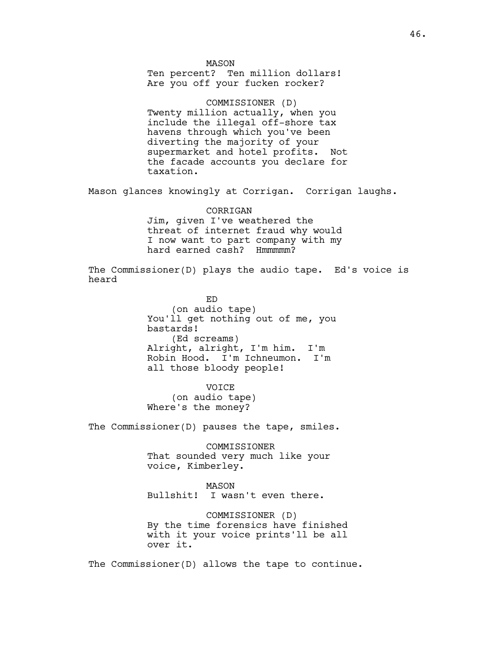MASON Ten percent? Ten million dollars! Are you off your fucken rocker?

COMMISSIONER (D) Twenty million actually, when you include the illegal off-shore tax havens through which you've been diverting the majority of your supermarket and hotel profits. Not the facade accounts you declare for taxation.

Mason glances knowingly at Corrigan. Corrigan laughs.

CORRIGAN Jim, given I've weathered the threat of internet fraud why would I now want to part company with my hard earned cash? Hmmmmm?

The Commissioner(D) plays the audio tape. Ed's voice is heard

> ED (on audio tape) You'll get nothing out of me, you bastards! (Ed screams) Alright, alright, I'm him. I'm Robin Hood. I'm Ichneumon. I'm all those bloody people!

VOICE (on audio tape) Where's the money?

The Commissioner(D) pauses the tape, smiles.

COMMISSIONER That sounded very much like your voice, Kimberley.

MASON Bullshit! I wasn't even there.

COMMISSIONER (D) By the time forensics have finished with it your voice prints'll be all over it.

The Commissioner(D) allows the tape to continue.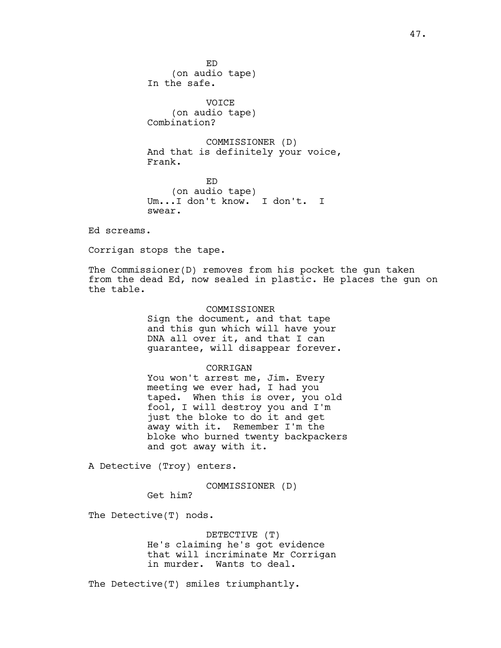ED (on audio tape) In the safe.

VOICE (on audio tape) Combination?

COMMISSIONER (D) And that is definitely your voice, Frank.

ED (on audio tape) Um...I don't know. I don't. I swear.

Ed screams.

Corrigan stops the tape.

The Commissioner(D) removes from his pocket the gun taken from the dead Ed, now sealed in plastic. He places the gun on the table.

#### COMMISSIONER

Sign the document, and that tape and this gun which will have your DNA all over it, and that I can guarantee, will disappear forever.

### CORRIGAN

You won't arrest me, Jim. Every meeting we ever had, I had you taped. When this is over, you old fool, I will destroy you and I'm just the bloke to do it and get away with it. Remember I'm the bloke who burned twenty backpackers and got away with it.

A Detective (Troy) enters.

COMMISSIONER (D)

Get him?

The Detective(T) nods.

DETECTIVE (T) He's claiming he's got evidence that will incriminate Mr Corrigan in murder. Wants to deal.

The Detective(T) smiles triumphantly.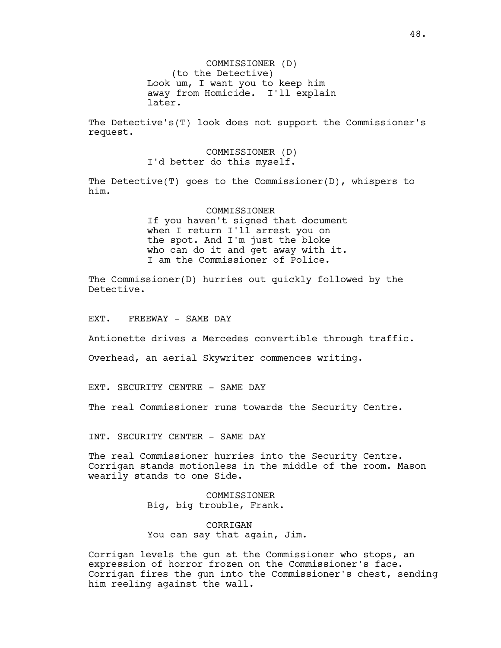COMMISSIONER (D) (to the Detective) Look um, I want you to keep him away from Homicide. I'll explain later.

The Detective's(T) look does not support the Commissioner's request.

> COMMISSIONER (D) I'd better do this myself.

The Detective(T) goes to the Commissioner(D), whispers to him.

> **COMMISSIONER** If you haven't signed that document when I return I'll arrest you on the spot. And I'm just the bloke who can do it and get away with it. I am the Commissioner of Police.

The Commissioner(D) hurries out quickly followed by the Detective.

EXT. FREEWAY - SAME DAY

Antionette drives a Mercedes convertible through traffic.

Overhead, an aerial Skywriter commences writing.

EXT. SECURITY CENTRE - SAME DAY

The real Commissioner runs towards the Security Centre.

INT. SECURITY CENTER - SAME DAY

The real Commissioner hurries into the Security Centre. Corrigan stands motionless in the middle of the room. Mason wearily stands to one Side.

> COMMISSIONER Big, big trouble, Frank.

CORRIGAN You can say that again, Jim.

Corrigan levels the gun at the Commissioner who stops, an expression of horror frozen on the Commissioner's face. Corrigan fires the gun into the Commissioner's chest, sending him reeling against the wall.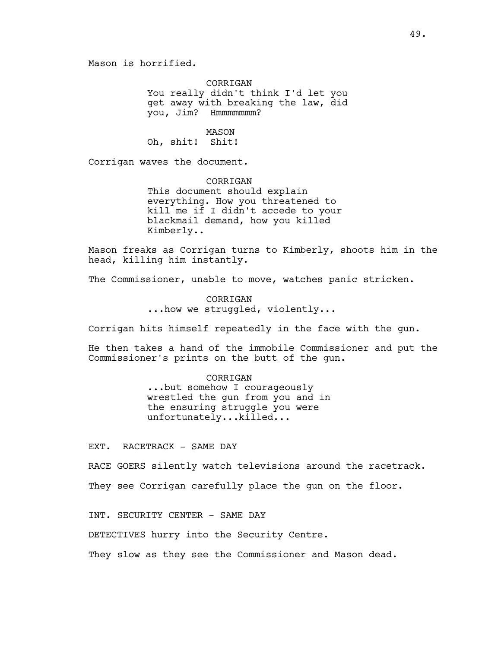Mason is horrified.

CORRIGAN You really didn't think I'd let you get away with breaking the law, did you, Jim? Hmmmmmmm?

MASON Oh, shit! Shit!

Corrigan waves the document.

CORRIGAN This document should explain everything. How you threatened to kill me if I didn't accede to your blackmail demand, how you killed Kimberly..

Mason freaks as Corrigan turns to Kimberly, shoots him in the head, killing him instantly.

The Commissioner, unable to move, watches panic stricken.

**CORRIGAN** ...how we struggled, violently...

Corrigan hits himself repeatedly in the face with the gun.

He then takes a hand of the immobile Commissioner and put the Commissioner's prints on the butt of the gun.

#### CORRIGAN

...but somehow I courageously wrestled the gun from you and in the ensuring struggle you were unfortunately...killed...

EXT. RACETRACK - SAME DAY

RACE GOERS silently watch televisions around the racetrack.

They see Corrigan carefully place the gun on the floor.

INT. SECURITY CENTER - SAME DAY

DETECTIVES hurry into the Security Centre.

They slow as they see the Commissioner and Mason dead.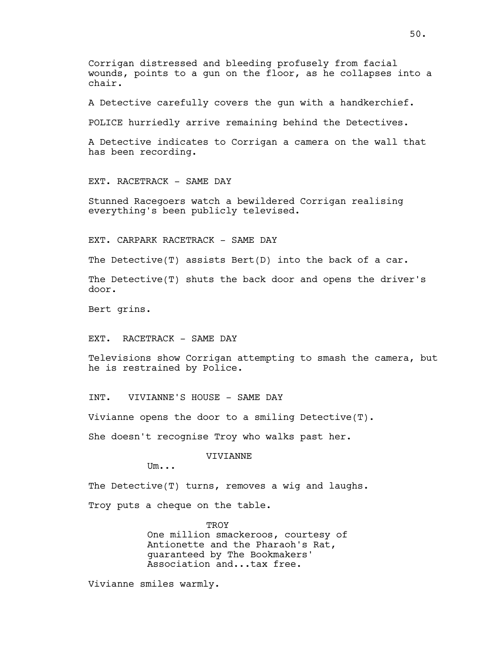Corrigan distressed and bleeding profusely from facial wounds, points to a gun on the floor, as he collapses into a chair.

A Detective carefully covers the gun with a handkerchief.

POLICE hurriedly arrive remaining behind the Detectives.

A Detective indicates to Corrigan a camera on the wall that has been recording.

EXT. RACETRACK - SAME DAY

Stunned Racegoers watch a bewildered Corrigan realising everything's been publicly televised.

EXT. CARPARK RACETRACK - SAME DAY

The Detective(T) assists Bert(D) into the back of a car.

The Detective(T) shuts the back door and opens the driver's door.

Bert grins.

EXT. RACETRACK - SAME DAY

Televisions show Corrigan attempting to smash the camera, but he is restrained by Police.

INT. VIVIANNE'S HOUSE - SAME DAY

Vivianne opens the door to a smiling Detective(T).

She doesn't recognise Troy who walks past her.

VIVIANNE

 $Um...$ 

The Detective(T) turns, removes a wig and laughs.

Troy puts a cheque on the table.

TROY One million smackeroos, courtesy of Antionette and the Pharaoh's Rat, guaranteed by The Bookmakers' Association and...tax free.

Vivianne smiles warmly.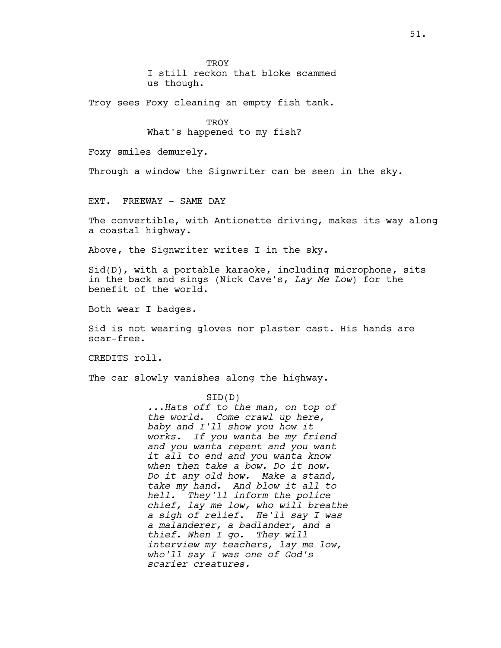**TROY** I still reckon that bloke scammed us though.

Troy sees Foxy cleaning an empty fish tank.

**TROY** What's happened to my fish?

Foxy smiles demurely.

Through a window the Signwriter can be seen in the sky.

EXT. FREEWAY - SAME DAY

The convertible, with Antionette driving, makes its way along a coastal highway.

Above, the Signwriter writes I in the sky.

Sid(D), with a portable karaoke, including microphone, sits in the back and sings (Nick Cave's, Lay Me Low) for the benefit of the world.

Both wear I badges.

Sid is not wearing gloves nor plaster cast. His hands are scar-free.

CREDITS roll.

The car slowly vanishes along the highway.

SID(D) ...Hats off to the man, on top of the world. Come crawl up here, baby and I'll show you how it works. If you wanta be my friend and you wanta repent and you want it all to end and you wanta know when then take a bow. Do it now. Do it any old how. Make a stand, take my hand. And blow it all to hell. They'll inform the police chief, lay me low, who will breathe a sigh of relief. He'll say I was a malanderer, a badlander, and a thief. When I go. They will interview my teachers, lay me low, who'll say I was one of God's scarier creatures.